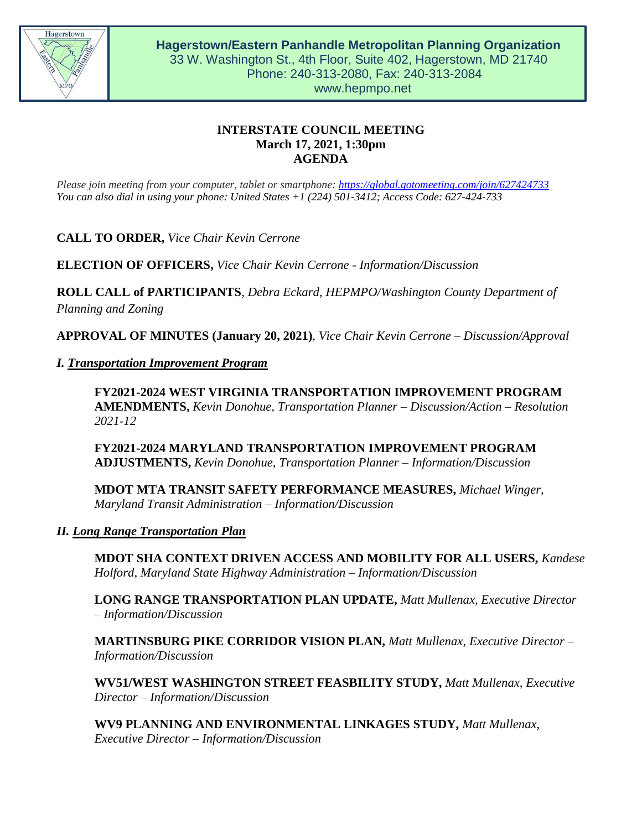

# **INTERSTATE COUNCIL MEETING March 17, 2021, 1:30pm AGENDA**

*Please join meeting from your computer, tablet or smartphone:<https://global.gotomeeting.com/join/627424733> You can also dial in using your phone: United States +1 (224) 501-3412; Access Code: 627-424-733*

**CALL TO ORDER,** *Vice Chair Kevin Cerrone*

**ELECTION OF OFFICERS,** *Vice Chair Kevin Cerrone - Information/Discussion*

**ROLL CALL of PARTICIPANTS**, *Debra Eckard, HEPMPO/Washington County Department of Planning and Zoning*

**APPROVAL OF MINUTES (January 20, 2021)**, *Vice Chair Kevin Cerrone – Discussion/Approval*

## *I. Transportation Improvement Program*

**FY2021-2024 WEST VIRGINIA TRANSPORTATION IMPROVEMENT PROGRAM AMENDMENTS,** *Kevin Donohue, Transportation Planner – Discussion/Action – Resolution 2021-12*

**FY2021-2024 MARYLAND TRANSPORTATION IMPROVEMENT PROGRAM ADJUSTMENTS,** *Kevin Donohue, Transportation Planner – Information/Discussion*

**MDOT MTA TRANSIT SAFETY PERFORMANCE MEASURES,** *Michael Winger, Maryland Transit Administration – Information/Discussion*

## *II. Long Range Transportation Plan*

**MDOT SHA CONTEXT DRIVEN ACCESS AND MOBILITY FOR ALL USERS,** *Kandese Holford, Maryland State Highway Administration – Information/Discussion*

**LONG RANGE TRANSPORTATION PLAN UPDATE,** *Matt Mullenax, Executive Director – Information/Discussion*

**MARTINSBURG PIKE CORRIDOR VISION PLAN,** *Matt Mullenax, Executive Director – Information/Discussion*

**WV51/WEST WASHINGTON STREET FEASBILITY STUDY,** *Matt Mullenax, Executive Director – Information/Discussion*

**WV9 PLANNING AND ENVIRONMENTAL LINKAGES STUDY,** *Matt Mullenax, Executive Director – Information/Discussion*